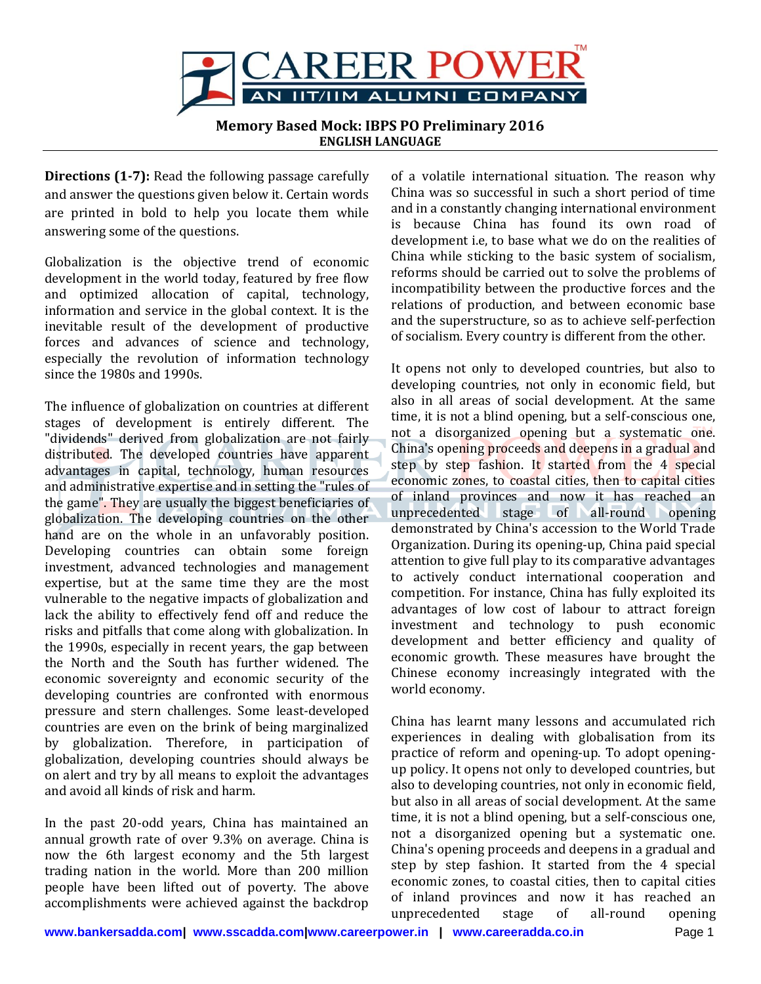

**Memory Based Mock: IBPS PO Preliminary 2016 ENGLISH LANGUAGE**

**Directions (1-7):** Read the following passage carefully and answer the questions given below it. Certain words are printed in bold to help you locate them while answering some of the questions.

Globalization is the objective trend of economic development in the world today, featured by free flow and optimized allocation of capital, technology, information and service in the global context. It is the inevitable result of the development of productive forces and advances of science and technology, especially the revolution of information technology since the 1980s and 1990s.

The influence of globalization on countries at different stages of development is entirely different. The "dividends" derived from globalization are not fairly distributed. The developed countries have apparent advantages in capital, technology, human resources and administrative expertise and in setting the "rules of the game". They are usually the biggest beneficiaries of globalization. The developing countries on the other hand are on the whole in an unfavorably position. Developing countries can obtain some foreign investment, advanced technologies and management expertise, but at the same time they are the most vulnerable to the negative impacts of globalization and lack the ability to effectively fend off and reduce the risks and pitfalls that come along with globalization. In the 1990s, especially in recent years, the gap between the North and the South has further widened. The economic sovereignty and economic security of the developing countries are confronted with enormous pressure and stern challenges. Some least-developed countries are even on the brink of being marginalized by globalization. Therefore, in participation of globalization, developing countries should always be on alert and try by all means to exploit the advantages and avoid all kinds of risk and harm.

In the past 20-odd years, China has maintained an annual growth rate of over 9.3% on average. China is now the 6th largest economy and the 5th largest trading nation in the world. More than 200 million people have been lifted out of poverty. The above accomplishments were achieved against the backdrop

of a volatile international situation. The reason why China was so successful in such a short period of time and in a constantly changing international environment is because China has found its own road of development i.e, to base what we do on the realities of China while sticking to the basic system of socialism, reforms should be carried out to solve the problems of incompatibility between the productive forces and the relations of production, and between economic base and the superstructure, so as to achieve self-perfection of socialism. Every country is different from the other.

It opens not only to developed countries, but also to developing countries, not only in economic field, but also in all areas of social development. At the same time, it is not a blind opening, but a self-conscious one, not a disorganized opening but a systematic one. China's opening proceeds and deepens in a gradual and step by step fashion. It started from the 4 special economic zones, to coastal cities, then to capital cities of inland provinces and now it has reached an unprecedented stage of all-round opening demonstrated by China's accession to the World Trade Organization. During its opening-up, China paid special attention to give full play to its comparative advantages to actively conduct international cooperation and competition. For instance, China has fully exploited its advantages of low cost of labour to attract foreign investment and technology to push economic development and better efficiency and quality of economic growth. These measures have brought the Chinese economy increasingly integrated with the world economy.

China has learnt many lessons and accumulated rich experiences in dealing with globalisation from its practice of reform and opening-up. To adopt openingup policy. It opens not only to developed countries, but also to developing countries, not only in economic field, but also in all areas of social development. At the same time, it is not a blind opening, but a self-conscious one, not a disorganized opening but a systematic one. China's opening proceeds and deepens in a gradual and step by step fashion. It started from the 4 special economic zones, to coastal cities, then to capital cities of inland provinces and now it has reached an unprecedented stage of all-round opening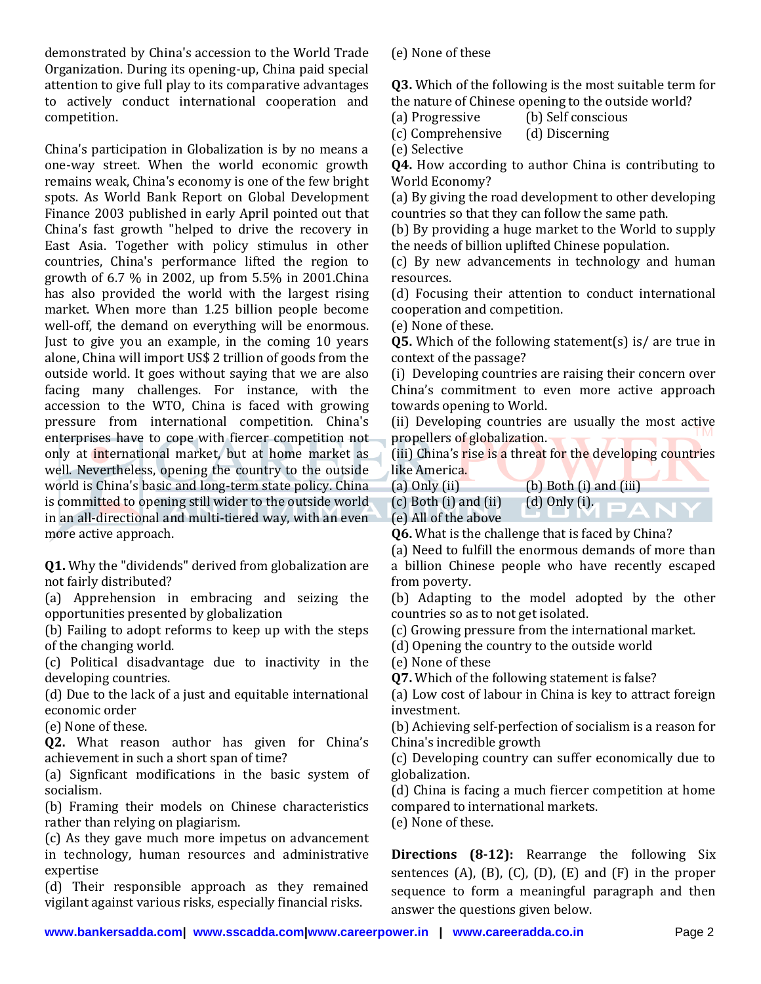demonstrated by China's accession to the World Trade Organization. During its opening-up, China paid special attention to give full play to its comparative advantages to actively conduct international cooperation and competition.

China's participation in Globalization is by no means a one-way street. When the world economic growth remains weak, China's economy is one of the few bright spots. As World Bank Report on Global Development Finance 2003 published in early April pointed out that China's fast growth "helped to drive the recovery in East Asia. Together with policy stimulus in other countries, China's performance lifted the region to growth of 6.7 % in 2002, up from 5.5% in 2001.China has also provided the world with the largest rising market. When more than 1.25 billion people become well-off, the demand on everything will be enormous. Just to give you an example, in the coming 10 years alone, China will import US\$ 2 trillion of goods from the outside world. It goes without saying that we are also facing many challenges. For instance, with the accession to the WTO, China is faced with growing pressure from international competition. China's enterprises have to cope with fiercer competition not only at international market, but at home market as well. Nevertheless, opening the country to the outside world is China's basic and long-term state policy. China is committed to opening still wider to the outside world in an all-directional and multi-tiered way, with an even more active approach.

**Q1.** Why the "dividends" derived from globalization are not fairly distributed?

(a) Apprehension in embracing and seizing the opportunities presented by globalization

(b) Failing to adopt reforms to keep up with the steps of the changing world.

(c) Political disadvantage due to inactivity in the developing countries.

(d) Due to the lack of a just and equitable international economic order

(e) None of these.

**Q2.** What reason author has given for China's achievement in such a short span of time?

(a) Signficant modifications in the basic system of socialism.

(b) Framing their models on Chinese characteristics rather than relying on plagiarism.

(c) As they gave much more impetus on advancement in technology, human resources and administrative expertise

(d) Their responsible approach as they remained vigilant against various risks, especially financial risks.

(e) None of these

**Q3.** Which of the following is the most suitable term for the nature of Chinese opening to the outside world?

(a) Progressive (b) Self conscious

(c) Comprehensive (d) Discerning

(e) Selective

**Q4.** How according to author China is contributing to World Economy?

(a) By giving the road development to other developing countries so that they can follow the same path.

(b) By providing a huge market to the World to supply the needs of billion uplifted Chinese population.

(c) By new advancements in technology and human resources.

(d) Focusing their attention to conduct international cooperation and competition.

(e) None of these.

**Q5.** Which of the following statement(s) is/ are true in context of the passage?

(i) Developing countries are raising their concern over China's commitment to even more active approach towards opening to World.

(ii) Developing countries are usually the most active propellers of globalization.

(iii) China's rise is a threat for the developing countries like America.

(a)  $Only (ii)$  (b) Both (i) and  $(iii)$ 

 $(c)$  Both  $(i)$  and  $(ii)$   $(d)$  Only  $(i)$ . (e) All of the above

**Q6.** What is the challenge that is faced by China?

(a) Need to fulfill the enormous demands of more than a billion Chinese people who have recently escaped from poverty.

(b) Adapting to the model adopted by the other countries so as to not get isolated.

(c) Growing pressure from the international market.

(d) Opening the country to the outside world

(e) None of these

**Q7.** Which of the following statement is false?

(a) Low cost of labour in China is key to attract foreign investment.

(b) Achieving self-perfection of socialism is a reason for China's incredible growth

(c) Developing country can suffer economically due to globalization.

(d) China is facing a much fiercer competition at home compared to international markets.

(e) None of these.

**Directions (8-12):** Rearrange the following Six sentences  $(A)$ ,  $(B)$ ,  $(C)$ ,  $(D)$ ,  $(E)$  and  $(F)$  in the proper sequence to form a meaningful paragraph and then answer the questions given below.

**[www.bankersadda.com|](http://www.bankersadda.com/) [www.sscadda.com|](http://www.sscadda.com/)[www.careerpower.in](http://www.careerpower.in/) | [www.careeradda.co.in](http://www.careeradda.co.in/)** Page 2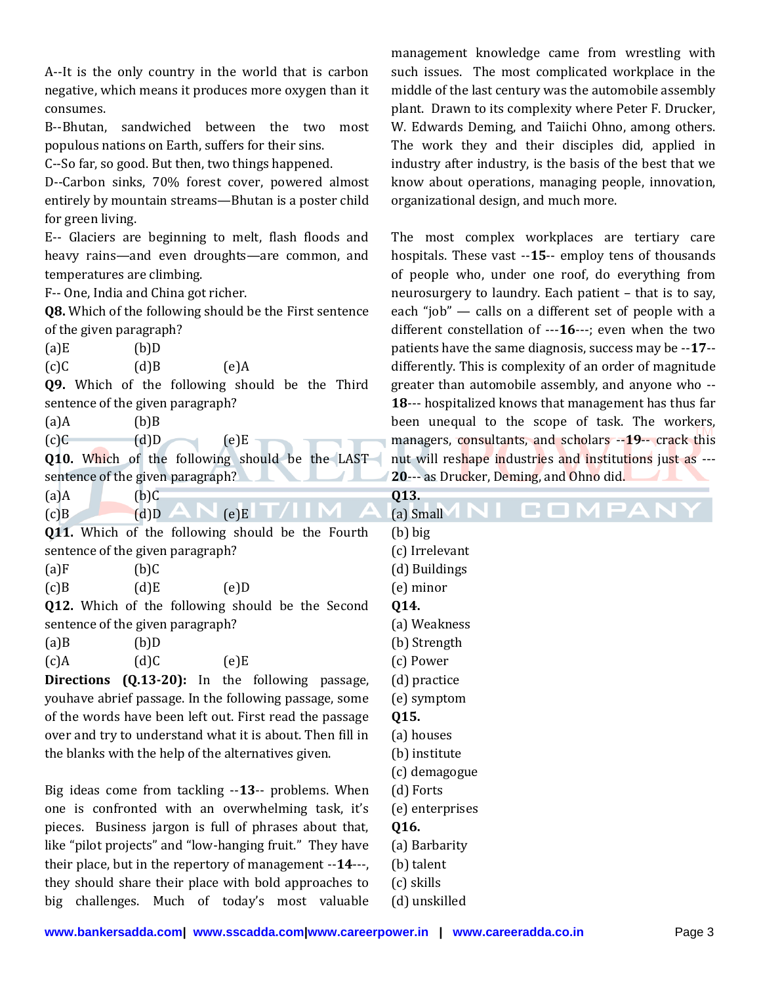A--It is the only country in the world that is carbon negative, which means it produces more oxygen than it consumes.

B--Bhutan, sandwiched between the two most populous nations on Earth, suffers for their sins.

C--So far, so good. But then, two things happened.

D--Carbon sinks, 70% forest cover, powered almost entirely by mountain streams—Bhutan is a poster child for green living.

E-- Glaciers are beginning to melt, flash floods and heavy rains—and even droughts—are common, and temperatures are climbing.

F-- One, India and China got richer.

**Q8.** Which of the following should be the First sentence of the given paragraph?

 $(a)$ E  $(b)$ D

 $(c)$ C  $(d)$ B  $(e)$ A

**Q9.** Which of the following should be the Third sentence of the given paragraph?

| $(a)$ A | $(b)$ B |
|---------|---------|
|         |         |

| (c)C |  |
|------|--|
|      |  |

**Q10.** Which of the following should be the LAST sentence of the given paragraph?

 $(e)E$ 

| (a)A | $(b)$ $C$ |
|------|-----------|
|      |           |

| <u>. . </u> | $\sim$ $\sim$ |      |  |
|-------------|---------------|------|--|
| (c)B        | (d)D          | (e)E |  |

Q11. Which of the following should be the Four sentence of the given paragraph?

| (a)F    | $(b)$ C |                                   |      |
|---------|---------|-----------------------------------|------|
| $(c)$ B | (d)E    |                                   | (e)D |
|         |         | 012. Which of the following shoul |      |

g should be the Seco sentence of the given paragraph?

| $(a)$ B | (b)D |      |
|---------|------|------|
| $(c)$ A | (d)C | (e)E |

**Directions (Q.13-20):** In the following passa youhave abrief passage. In the following passage, som of the words have been left out. First read the passa over and try to understand what it is about. Then fill the blanks with the help of the alternatives given.

Big ideas come from tackling --13-- problems. Wh one is confronted with an overwhelming task, pieces. Business jargon is full of phrases about th like "pilot projects" and "low-hanging fruit." They ha their place, but in the repertory of management --14they should share their place with bold approaches big challenges. Much of today's most valuable management knowledge came from wrestling with such issues. The most complicated workplace in the middle of the last century was the automobile assembly plant. Drawn to its complexity where Peter F. Drucker, W. Edwards Deming, and Taiichi Ohno, among others. The work they and their disciples did, applied in industry after industry, is the basis of the best that we know about operations, managing people, innovation, organizational design, and much more.

The most complex workplaces are tertiary care hospitals. These vast --**15**-- employ tens of thousands of people who, under one roof, do everything from neurosurgery to laundry. Each patient – that is to say, each "job" — calls on a different set of people with a different constellation of ---**16**---; even when the two patients have the same diagnosis, success may be --**17**- differently. This is complexity of an order of magnitude greater than automobile assembly, and anyone who -- **18**--- hospitalized knows that management has thus far been unequal to the scope of task. The workers, managers, consultants, and scholars --**19**-- crack this nut will reshape industries and institutions just as --- **20**--- as Drucker, Deming, and Ohno did.

|       | Q13.              |
|-------|-------------------|
|       | OMPA<br>(a) Small |
| rth   | $(b)$ big         |
|       | (c) Irrelevant    |
|       | (d) Buildings     |
|       | (e) minor         |
| ond   | Q14.              |
|       | (a) Weakness      |
|       | (b) Strength      |
|       | (c) Power         |
| ige,  | (d) practice      |
| me    | (e) symptom       |
| age   | Q15.              |
| l in  | (a) houses        |
|       | (b) institute     |
|       | (c) demagogue     |
| ıen   | (d) Forts         |
| it's  | (e) enterprises   |
| ıat,  | Q16.              |
| ave   | (a) Barbarity     |
| erre, | (b) talent        |
| ; to  | (c) skills        |

(d) unskilled